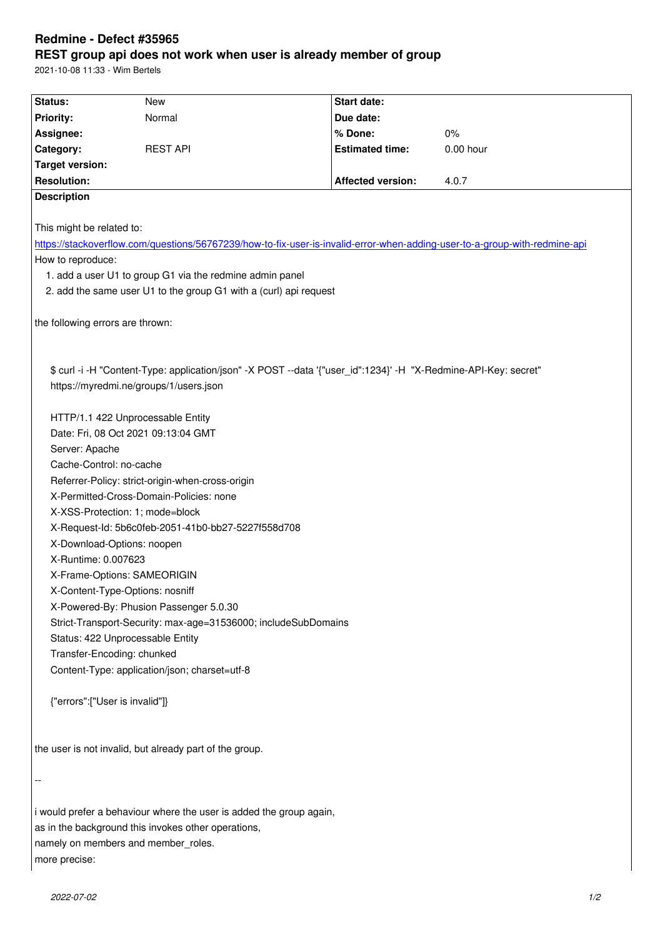## **REST group api does not work when user is already member of group**

2021-10-08 11:33 - Wim Bertels

| Status:                                                                                                                    | New             | Start date:              |             |
|----------------------------------------------------------------------------------------------------------------------------|-----------------|--------------------------|-------------|
| <b>Priority:</b>                                                                                                           | Normal          | Due date:                |             |
| Assignee:                                                                                                                  |                 | % Done:                  | 0%          |
| Category:                                                                                                                  | <b>REST API</b> | <b>Estimated time:</b>   | $0.00$ hour |
| <b>Target version:</b>                                                                                                     |                 |                          |             |
| <b>Resolution:</b>                                                                                                         |                 | <b>Affected version:</b> | 4.0.7       |
| <b>Description</b>                                                                                                         |                 |                          |             |
|                                                                                                                            |                 |                          |             |
| This might be related to:                                                                                                  |                 |                          |             |
| https://stackoverflow.com/questions/56767239/how-to-fix-user-is-invalid-error-when-adding-user-to-a-group-with-redmine-api |                 |                          |             |
| How to reproduce:                                                                                                          |                 |                          |             |
|                                                                                                                            |                 |                          |             |
| 1. add a user U1 to group G1 via the redmine admin panel                                                                   |                 |                          |             |
| 2. add the same user U1 to the group G1 with a (curl) api request                                                          |                 |                          |             |
|                                                                                                                            |                 |                          |             |
| the following errors are thrown:                                                                                           |                 |                          |             |
|                                                                                                                            |                 |                          |             |
|                                                                                                                            |                 |                          |             |
| \$ curl -i -H "Content-Type: application/json" -X POST --data '{"user_id":1234}' -H "X-Redmine-API-Key: secret"            |                 |                          |             |
| https://myredmi.ne/groups/1/users.json                                                                                     |                 |                          |             |
|                                                                                                                            |                 |                          |             |
| HTTP/1.1 422 Unprocessable Entity                                                                                          |                 |                          |             |
| Date: Fri, 08 Oct 2021 09:13:04 GMT                                                                                        |                 |                          |             |
| Server: Apache                                                                                                             |                 |                          |             |
| Cache-Control: no-cache                                                                                                    |                 |                          |             |
| Referrer-Policy: strict-origin-when-cross-origin                                                                           |                 |                          |             |
| X-Permitted-Cross-Domain-Policies: none                                                                                    |                 |                          |             |
|                                                                                                                            |                 |                          |             |
| X-XSS-Protection: 1; mode=block                                                                                            |                 |                          |             |
| X-Request-Id: 5b6c0feb-2051-41b0-bb27-5227f558d708                                                                         |                 |                          |             |
| X-Download-Options: noopen                                                                                                 |                 |                          |             |
| X-Runtime: 0.007623                                                                                                        |                 |                          |             |
| X-Frame-Options: SAMEORIGIN                                                                                                |                 |                          |             |
| X-Content-Type-Options: nosniff                                                                                            |                 |                          |             |
| X-Powered-By: Phusion Passenger 5.0.30                                                                                     |                 |                          |             |
| Strict-Transport-Security: max-age=31536000; includeSubDomains                                                             |                 |                          |             |
| Status: 422 Unprocessable Entity                                                                                           |                 |                          |             |
| Transfer-Encoding: chunked                                                                                                 |                 |                          |             |
| Content-Type: application/json; charset=utf-8                                                                              |                 |                          |             |
|                                                                                                                            |                 |                          |             |
| {"errors":["User is invalid"]}                                                                                             |                 |                          |             |
|                                                                                                                            |                 |                          |             |
|                                                                                                                            |                 |                          |             |
| the user is not invalid, but already part of the group.                                                                    |                 |                          |             |
|                                                                                                                            |                 |                          |             |
|                                                                                                                            |                 |                          |             |
|                                                                                                                            |                 |                          |             |
|                                                                                                                            |                 |                          |             |
| i would prefer a behaviour where the user is added the group again,                                                        |                 |                          |             |
| as in the background this invokes other operations,                                                                        |                 |                          |             |
| namely on members and member_roles.                                                                                        |                 |                          |             |
| more precise:                                                                                                              |                 |                          |             |